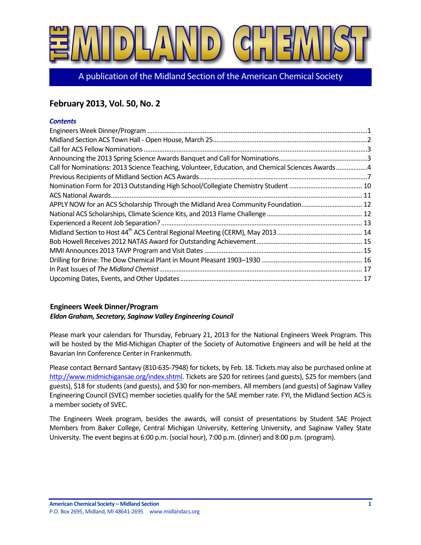

A publication of the Midland Section of the American Chemical Society

# **February 2013, Vol. 50, No. 2**

### *Contents*

| Call for Nominations: 2013 Science Teaching, Volunteer, Education, and Chemical Sciences Awards4 |  |
|--------------------------------------------------------------------------------------------------|--|
|                                                                                                  |  |
|                                                                                                  |  |
|                                                                                                  |  |
| APPLY NOW for an ACS Scholarship Through the Midland Area Community Foundation 12                |  |
|                                                                                                  |  |
|                                                                                                  |  |
|                                                                                                  |  |
|                                                                                                  |  |
|                                                                                                  |  |
|                                                                                                  |  |
|                                                                                                  |  |
|                                                                                                  |  |

# <span id="page-0-0"></span>**Engineers Week Dinner/Program**

*Eldon Graham, Secretary, Saginaw Valley Engineering Council*

Please mark your calendars for Thursday, February 21, 2013 for the National Engineers Week Program. This will be hosted by the Mid-Michigan Chapter of the Society of Automotive Engineers and will be held at the Bavarian Inn Conference Center in Frankenmuth.

Please contact Bernard Santavy (810-635-7948) for tickets, by Feb. 18. Tickets may also be purchased online at [http://www.midmichigansae.org/index.shtml.](http://www.midmichigansae.org/index.shtml) Tickets are \$20 for retirees (and guests), \$25 for members (and guests), \$18 for students (and guests), and \$30 for non-members. All members (and guests) of Saginaw Valley Engineering Council (SVEC) member societies qualify for the SAE member rate. FYI, the Midland Section ACS is a member society of SVEC.

The Engineers Week program, besides the awards, will consist of presentations by Student SAE Project Members from Baker College, Central Michigan University, Kettering University, and Saginaw Valley State University. The event begins at 6:00 p.m. (social hour), 7:00 p.m. (dinner) and 8:00 p.m. (program).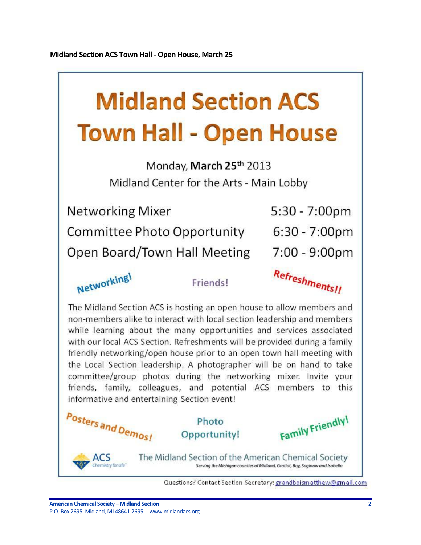# <span id="page-1-0"></span>**Midland Section ACS Town Hall - Open House**

Monday, March 25th 2013 Midland Center for the Arts - Main Lobby

| <b>Networking Mixer</b>      | 5:30 - 7:00pm    |
|------------------------------|------------------|
| Committee Photo Opportunity  | $6:30 - 7:00$ pm |
| Open Board/Town Hall Meeting | 7:00 - 9:00pm    |



Friends!

Refreshments!!

The Midland Section ACS is hosting an open house to allow members and non-members alike to interact with local section leadership and members while learning about the many opportunities and services associated with our local ACS Section. Refreshments will be provided during a family friendly networking/open house prior to an open town hall meeting with the Local Section leadership. A photographer will be on hand to take committee/group photos during the networking mixer. Invite your friends, family, colleagues, and potential ACS members to this informative and entertaining Section event!



Serving the Michigan counties of Midland, Gratiot, Bay, Saginaw and Isabella

Questions? Contact Section Secretary: grandboismatthew@gmail.com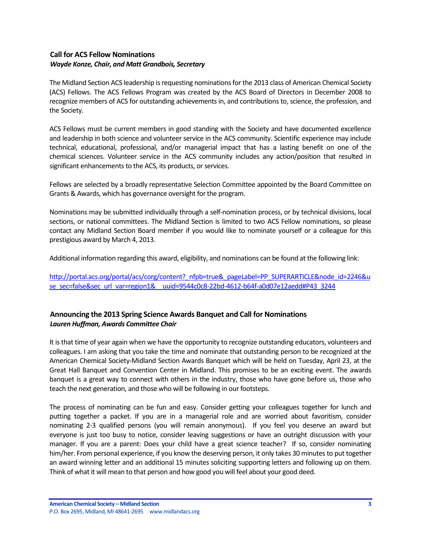# <span id="page-2-0"></span>**Call for ACS Fellow Nominations** *Wayde Konze, Chair, and Matt Grandbois, Secretary*

The Midland Section ACS leadership is requesting nominations for the 2013 class of American Chemical Society (ACS) Fellows. The ACS Fellows Program was created by the ACS Board of Directors in December 2008 to recognize members of ACS for outstanding achievements in, and contributions to, science, the profession, and the Society.

ACS Fellows must be current members in good standing with the Society and have documented excellence and leadership in both science and volunteer service in the ACS community. Scientific experience may include technical, educational, professional, and/or managerial impact that has a lasting benefit on one of the chemical sciences. Volunteer service in the ACS community includes any action/position that resulted in significant enhancements to the ACS, its products, or services.

Fellows are selected by a broadly representative Selection Committee appointed by the Board Committee on Grants & Awards, which has governance oversight for the program.

Nominations may be submitted individually through a self-nomination process, or by technical divisions, local sections, or national committees. The Midland Section is limited to two ACS Fellow nominations, so please contact any Midland Section Board member if you would like to nominate yourself or a colleague for this prestigious award by March 4, 2013.

Additional information regarding this award, eligibility, and nominations can be found at the following link:

[http://portal.acs.org/portal/acs/corg/content?\\_nfpb=true&\\_pageLabel=PP\\_SUPERARTICLE&node\\_id=2246&u](http://portal.acs.org/portal/acs/corg/content?_nfpb=true&_pageLabel=PP_SUPERARTICLE&node_id=2246&use_sec=false&sec_url_var=region1&__uuid=9544c0c8-22bd-4612-b64f-a0d07e12aedd#P43_3244) [se\\_sec=false&sec\\_url\\_var=region1&\\_\\_uuid=9544c0c8-22bd-4612-b64f-a0d07e12aedd#P43\\_3244](http://portal.acs.org/portal/acs/corg/content?_nfpb=true&_pageLabel=PP_SUPERARTICLE&node_id=2246&use_sec=false&sec_url_var=region1&__uuid=9544c0c8-22bd-4612-b64f-a0d07e12aedd#P43_3244)

# <span id="page-2-1"></span>**Announcing the 2013 Spring Science Awards Banquet and Call for Nominations** *Lauren Huffman, Awards Committee Chair*

It is that time of year again when we have the opportunity to recognize outstanding educators, volunteers and colleagues. I am asking that you take the time and nominate that outstanding person to be recognized at the American Chemical Society-Midland Section Awards Banquet which will be held on Tuesday, April 23, at the Great Hall Banquet and Convention Center in Midland. This promises to be an exciting event. The awards banquet is a great way to connect with others in the industry, those who have gone before us, those who teach the next generation, and those who will be following in our footsteps.

The process of nominating can be fun and easy. Consider getting your colleagues together for lunch and putting together a packet. If you are in a managerial role and are worried about favoritism, consider nominating 2-3 qualified persons (you will remain anonymous). If you feel you deserve an award but everyone is just too busy to notice, consider leaving suggestions or have an outright discussion with your manager. If you are a parent: Does your child have a great science teacher? If so, consider nominating him/her. From personal experience, if you know the deserving person, it only takes 30 minutes to put together an award winning letter and an additional 15 minutes soliciting supporting letters and following up on them. Think of what it will mean to that person and how good you will feel about your good deed.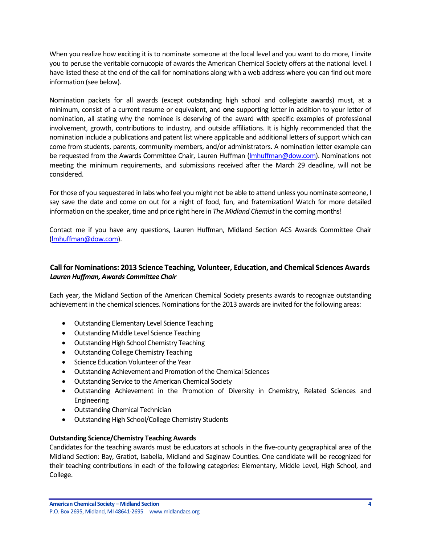When you realize how exciting it is to nominate someone at the local level and you want to do more, I invite you to peruse the veritable cornucopia of awards the American Chemical Society offers at the national level. I have listed these at the end of the call for nominations along with a web address where you can find out more information (see below).

Nomination packets for all awards (except outstanding high school and collegiate awards) must, at a minimum, consist of a current resume or equivalent, and **one** supporting letter in addition to your letter of nomination, all stating why the nominee is deserving of the award with specific examples of professional involvement, growth, contributions to industry, and outside affiliations. It is highly recommended that the nomination include a publications and patent list where applicable and additional letters of support which can come from students, parents, community members, and/or administrators. A nomination letter example can be requested from the Awards Committee Chair, Lauren Huffman (Imhuffman@dow.com). Nominations not meeting the minimum requirements, and submissions received after the March 29 deadline, will not be considered.

For those of you sequestered in labs who feel you might not be able to attend unless you nominate someone, I say save the date and come on out for a night of food, fun, and fraternization! Watch for more detailed information on the speaker, time and price right here in *The Midland Chemist* in the coming months!

Contact me if you have any questions, Lauren Huffman, Midland Section ACS Awards Committee Chair [\(lmhuffman@dow.com\)](mailto:lmhuffman@dow.com).

# <span id="page-3-0"></span>**Call for Nominations: 2013 Science Teaching, Volunteer, Education, and Chemical Sciences Awards** *Lauren Huffman, Awards Committee Chair*

Each year, the Midland Section of the American Chemical Society presents awards to recognize outstanding achievement in the chemical sciences. Nominations for the 2013 awards are invited for the following areas:

- Outstanding Elementary Level Science Teaching
- Outstanding Middle Level Science Teaching
- Outstanding High School Chemistry Teaching
- Outstanding College Chemistry Teaching
- **•** Science Education Volunteer of the Year
- Outstanding Achievement and Promotion of the Chemical Sciences
- Outstanding Service to the American Chemical Society
- Outstanding Achievement in the Promotion of Diversity in Chemistry, Related Sciences and Engineering
- Outstanding Chemical Technician
- Outstanding High School/College Chemistry Students

### **Outstanding Science/Chemistry Teaching Awards**

Candidates for the teaching awards must be educators at schools in the five-county geographical area of the Midland Section: Bay, Gratiot, Isabella, Midland and Saginaw Counties. One candidate will be recognized for their teaching contributions in each of the following categories: Elementary, Middle Level, High School, and College.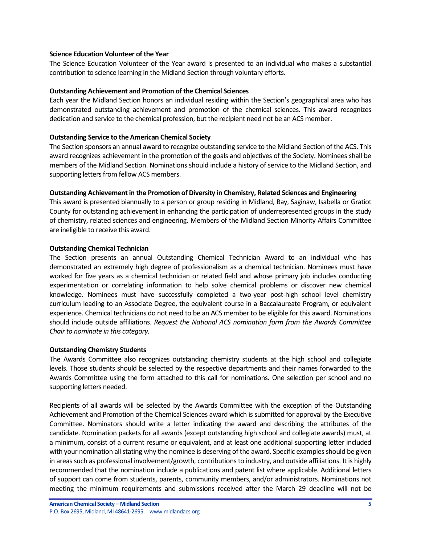### **Science Education Volunteer of the Year**

The Science Education Volunteer of the Year award is presented to an individual who makes a substantial contribution to science learning in the Midland Section through voluntary efforts.

### **Outstanding Achievement and Promotion of the Chemical Sciences**

Each year the Midland Section honors an individual residing within the Section's geographical area who has demonstrated outstanding achievement and promotion of the chemical sciences. This award recognizes dedication and service to the chemical profession, but the recipient need not be an ACS member.

### **Outstanding Service to the American Chemical Society**

The Section sponsors an annual award to recognize outstanding service to the Midland Section of the ACS. This award recognizes achievement in the promotion of the goals and objectives of the Society. Nominees shall be members of the Midland Section. Nominations should include a history of service to the Midland Section, and supporting letters from fellow ACS members.

### **Outstanding Achievement in the Promotion of Diversity in Chemistry, Related Sciences and Engineering**

This award is presented biannually to a person or group residing in Midland, Bay, Saginaw, Isabella or Gratiot County for outstanding achievement in enhancing the participation of underrepresented groups in the study of chemistry, related sciences and engineering. Members of the Midland Section Minority Affairs Committee are ineligible to receive this award.

### **Outstanding Chemical Technician**

The Section presents an annual Outstanding Chemical Technician Award to an individual who has demonstrated an extremely high degree of professionalism as a chemical technician. Nominees must have worked for five years as a chemical technician or related field and whose primary job includes conducting experimentation or correlating information to help solve chemical problems or discover new chemical knowledge. Nominees must have successfully completed a two-year post-high school level chemistry curriculum leading to an Associate Degree, the equivalent course in a Baccalaureate Program, or equivalent experience. Chemical technicians do not need to be an ACS member to be eligible for this award. Nominations should include outside affiliations. *Request the National ACS nomination form from the Awards Committee Chair to nominate in this category.*

### **Outstanding Chemistry Students**

The Awards Committee also recognizes outstanding chemistry students at the high school and collegiate levels. Those students should be selected by the respective departments and their names forwarded to the Awards Committee using the form attached to this call for nominations. One selection per school and no supporting letters needed.

Recipients of all awards will be selected by the Awards Committee with the exception of the Outstanding Achievement and Promotion of the Chemical Sciences award which is submitted for approval by the Executive Committee. Nominators should write a letter indicating the award and describing the attributes of the candidate. Nomination packets for all awards (except outstanding high school and collegiate awards) must, at a minimum, consist of a current resume or equivalent, and at least one additional supporting letter included with your nomination all stating why the nominee is deserving of the award. Specific examples should be given in areas such as professional involvement/growth, contributions to industry, and outside affiliations. It is highly recommended that the nomination include a publications and patent list where applicable. Additional letters of support can come from students, parents, community members, and/or administrators. Nominations not meeting the minimum requirements and submissions received after the March 29 deadline will not be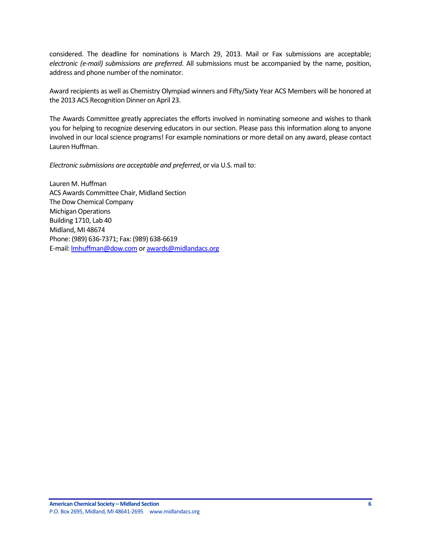considered. The deadline for nominations is March 29, 2013. Mail or Fax submissions are acceptable; *electronic (e-mail) submissions are preferred*. All submissions must be accompanied by the name, position, address and phone number of the nominator.

Award recipients as well as Chemistry Olympiad winners and Fifty/Sixty Year ACS Members will be honored at the 2013 ACS Recognition Dinner on April 23.

The Awards Committee greatly appreciates the efforts involved in nominating someone and wishes to thank you for helping to recognize deserving educators in our section. Please pass this information along to anyone involved in our local science programs! For example nominations or more detail on any award, please contact Lauren Huffman.

*Electronic submissions are acceptable and preferred*, or via U.S. mail to:

Lauren M. Huffman ACS Awards Committee Chair, Midland Section The Dow Chemical Company Michigan Operations Building 1710, Lab 40 Midland, MI 48674 Phone: (989) 636-7371; Fax: (989) 638-6619 E-mail: **Imhuffman@dow.com o[r awards@midlandacs.org](mailto:awards@midlandacs.org)**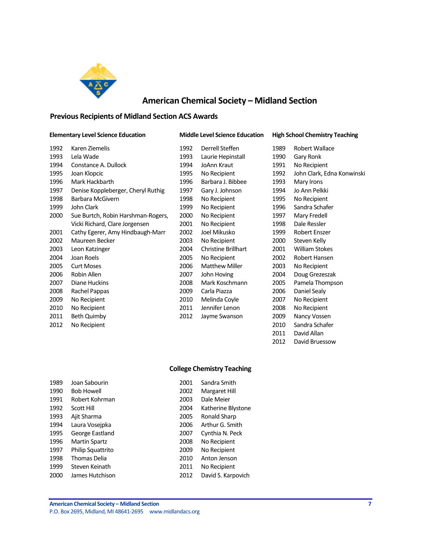

# **American Chemical Society – Midland Section**

### <span id="page-6-0"></span>**Previous Recipients of Midland Section ACS Awards**

#### **Elementary Level Science Education Middle Level Science Education High School Chemistry Teaching**

| 1992 | Karen Ziemelis                     | 1992 | Derrell Steffen            | 1989 | Robert Wallace        |
|------|------------------------------------|------|----------------------------|------|-----------------------|
| 1993 | Lela Wade                          | 1993 | Laurie Hepinstall          | 1990 | Gary Ronk             |
| 1994 | Constance A. Dullock               | 1994 | JoAnn Kraut                | 1991 | No Recipient          |
| 1995 | Joan Klopcic                       | 1995 | No Recipient               | 1992 | John Clark, Edn       |
| 1996 | Mark Hackbarth                     | 1996 | Barbara J. Bibbee          | 1993 | Mary Irons            |
| 1997 | Denise Koppleberger, Cheryl Ruthig | 1997 | Gary J. Johnson            | 1994 | Jo Ann Pelkki         |
| 1998 | Barbara McGivern                   | 1998 | No Recipient               | 1995 | No Recipient          |
| 1999 | John Clark                         | 1999 | No Recipient               | 1996 | Sandra Schafer        |
| 2000 | Sue Burtch, Robin Harshman-Rogers, | 2000 | No Recipient               | 1997 | Mary Fredell          |
|      | Vicki Richard, Clare Jorgensen     | 2001 | No Recipient               | 1998 | Dale Ressler          |
| 2001 | Cathy Egerer, Amy Hindbaugh-Marr   | 2002 | Joel Mikusko               | 1999 | Robert Enszer         |
| 2002 | Maureen Becker                     | 2003 | No Recipient               | 2000 | Steven Kelly          |
| 2003 | Leon Katzinger                     | 2004 | <b>Christine Brillhart</b> | 2001 | <b>William Stokes</b> |
| 2004 | Joan Roels                         | 2005 | No Recipient               | 2002 | Robert Hansen         |
| 2005 | <b>Curt Moses</b>                  | 2006 | <b>Matthew Miller</b>      | 2003 | No Recipient          |
| 2006 | Robin Allen                        | 2007 | John Hoving                | 2004 | Doug Grezesza         |
| 2007 | Diane Huckins                      | 2008 | Mark Koschmann             | 2005 | Pamela Thomp          |
| 2008 | Rachel Pappas                      | 2009 | Carla Piazza               | 2006 | Daniel Sealy          |
| 2009 | No Recipient                       | 2010 | Melinda Coyle              | 2007 | No Recipient          |
| 2010 | No Recipient                       | 2011 | Jennifer Lenon             | 2008 | No Recipient          |
| 2011 | Beth Quimby                        | 2012 | Jayme Swanson              | 2009 | Nancy Vossen          |
| 2012 | No Recipient                       |      |                            | 2010 | Sandra Schafer        |

| 1992 | Derrell Steffen       | 1989 | Robert Wallace             |
|------|-----------------------|------|----------------------------|
| 1993 | Laurie Hepinstall     | 1990 | Gary Ronk                  |
| 1994 | JoAnn Kraut           | 1991 | No Recipient               |
| 1995 | No Recipient          | 1992 | John Clark, Edna Konwinski |
| 1996 | Barbara J. Bibbee     | 1993 | Mary Irons                 |
| 1997 | Gary J. Johnson       | 1994 | Jo Ann Pelkki              |
| 1998 | No Recipient          | 1995 | No Recipient               |
| 1999 | No Recipient          | 1996 | Sandra Schafer             |
| 2000 | No Recipient          | 1997 | Mary Fredell               |
| 2001 | No Recipient          | 1998 | Dale Ressler               |
| 2002 | Joel Mikusko          | 1999 | <b>Robert Enszer</b>       |
| 2003 | No Recipient          | 2000 | Steven Kelly               |
| 2004 | Christine Brillhart   | 2001 | <b>William Stokes</b>      |
| 2005 | No Recipient          | 2002 | Robert Hansen              |
| 2006 | <b>Matthew Miller</b> | 2003 | No Recipient               |
| 2007 | John Hoving           | 2004 | Doug Grezeszak             |
| 2008 | Mark Koschmann        | 2005 | Pamela Thompson            |
| 2009 | Carla Piazza          | 2006 | Daniel Sealy               |
| 2010 | Melinda Coyle         | 2007 | No Recipient               |
| 2011 | Jennifer Lenon        | 2008 | No Recipient               |
| 2012 | Jayme Swanson         | 2009 | Nancy Vossen               |
|      |                       | 2010 | Sandra Schafer             |
|      |                       | 2011 | David Allan                |
|      |                       | 2012 | David Bruessow             |

### **College Chemistry Teaching**

| Joan Sabourin            | 2001 | Sandra Smith       |
|--------------------------|------|--------------------|
| <b>Bob Howell</b>        | 2002 | Margaret Hill      |
| Robert Kohrman           | 2003 | Dale Meier         |
| Scott Hill               | 2004 | Katherine Blystone |
| Ajit Sharma              | 2005 | Ronald Sharp       |
| Laura Voseipka           | 2006 | Arthur G. Smith    |
| George Eastland          | 2007 | Cynthia N. Peck    |
| <b>Martin Spartz</b>     | 2008 | No Recipient       |
| <b>Philip Squattrito</b> | 2009 | No Recipient       |
| Thomas Delia             | 2010 | Anton Jenson       |
| Steven Keinath           | 2011 | No Recipient       |
| James Hutchison          | 2012 | David S. Karpovich |
|                          |      |                    |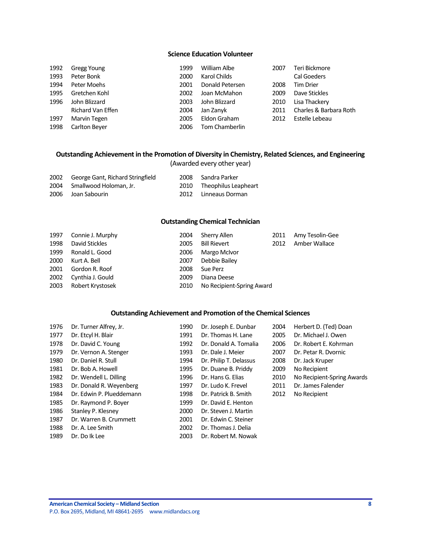### **Science Education Volunteer**

| 1992 | Gregg Young       | 1999 | William Albe    | 2007 | Teri Bickmore          |
|------|-------------------|------|-----------------|------|------------------------|
| 1993 | Peter Bonk        | 2000 | Karol Childs    |      | <b>Cal Goeders</b>     |
| 1994 | Peter Moehs       | 2001 | Donald Petersen | 2008 | <b>Tim Drier</b>       |
| 1995 | Gretchen Kohl     | 2002 | Joan McMahon    | 2009 | Dave Stickles          |
| 1996 | John Blizzard     | 2003 | John Blizzard   | 2010 | Lisa Thackery          |
|      | Richard Van Effen | 2004 | Jan Zanyk       | 2011 | Charles & Barbara Roth |
| 1997 | Marvin Tegen      | 2005 | Eldon Graham    | 2012 | Estelle Lebeau         |
| 1998 | Carlton Bever     | 2006 | Tom Chamberlin  |      |                        |

### **Outstanding Achievement in the Promotion of Diversity in Chemistry, Related Sciences, and Engineering** (Awarded every other year)

| 2002 | George Gant, Richard Stringfield | 2008 | Sandra Parker             |
|------|----------------------------------|------|---------------------------|
|      | 2004 Smallwood Holoman, Jr.      |      | 2010 Theophilus Leapheart |
|      | 2006 Joan Sabourin               |      | 2012 Linneaus Dorman      |

### **Outstanding Chemical Technician**

| 1997 | Connie J. Murphy | 2004 | Sherry Allen              | 2011 | Amy Tesolin-Gee |
|------|------------------|------|---------------------------|------|-----------------|
| 1998 | David Stickles   | 2005 | <b>Bill Rievert</b>       | 2012 | Amber Wallace   |
| 1999 | Ronald L. Good   | 2006 | Margo McIvor              |      |                 |
| 2000 | Kurt A. Bell     | 2007 | Debbie Bailey             |      |                 |
| 2001 | Gordon R. Roof   | 2008 | Sue Perz                  |      |                 |
| 2002 | Cynthia J. Gould | 2009 | Diana Deese               |      |                 |
| 2003 | Robert Krystosek | 2010 | No Recipient-Spring Award |      |                 |

### **Outstanding Achievement and Promotion of the Chemical Sciences**

| 1976 | Dr. Turner Alfrey, Jr.   | 1990 | Dr. Joseph E. Dunbar   | 2004 | Herbert D. (Ted) Doan      |
|------|--------------------------|------|------------------------|------|----------------------------|
| 1977 | Dr. Etcyl H. Blair       | 1991 | Dr. Thomas H. Lane     | 2005 | Dr. Michael J. Owen        |
| 1978 | Dr. David C. Young       | 1992 | Dr. Donald A. Tomalia  | 2006 | Dr. Robert E. Kohrman      |
| 1979 | Dr. Vernon A. Stenger    | 1993 | Dr. Dale J. Meier      | 2007 | Dr. Petar R. Dvornic       |
| 1980 | Dr. Daniel R. Stull      | 1994 | Dr. Philip T. Delassus | 2008 | Dr. Jack Kruper            |
| 1981 | Dr. Bob A. Howell        | 1995 | Dr. Duane B. Priddy    | 2009 | No Recipient               |
| 1982 | Dr. Wendell L. Dilling   | 1996 | Dr. Hans G. Elias      | 2010 | No Recipient-Spring Awards |
| 1983 | Dr. Donald R. Weyenberg  | 1997 | Dr. Ludo K. Frevel     | 2011 | Dr. James Falender         |
| 1984 | Dr. Edwin P. Plueddemann | 1998 | Dr. Patrick B. Smith   | 2012 | No Recipient               |
| 1985 | Dr. Raymond P. Boyer     | 1999 | Dr. David E. Henton    |      |                            |
| 1986 | Stanley P. Klesney       | 2000 | Dr. Steven J. Martin   |      |                            |
| 1987 | Dr. Warren B. Crummett   | 2001 | Dr. Edwin C. Steiner   |      |                            |
| 1988 | Dr. A. Lee Smith         | 2002 | Dr. Thomas J. Delia    |      |                            |
| 1989 | Dr. Do Ik Lee            | 2003 | Dr. Robert M. Nowak    |      |                            |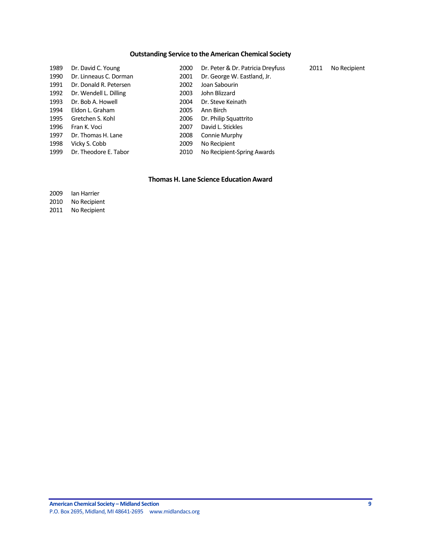# **Outstanding Service to the American Chemical Society**

| 1989 | Dr. David C. Young     | 2000 | Dr. Peter & Dr. Patricia Dreyfuss | 2011 | No Recipient |
|------|------------------------|------|-----------------------------------|------|--------------|
| 1990 | Dr. Linneaus C. Dorman | 2001 | Dr. George W. Eastland, Jr.       |      |              |
| 1991 | Dr. Donald R. Petersen | 2002 | Joan Sabourin                     |      |              |
| 1992 | Dr. Wendell L. Dilling | 2003 | John Blizzard                     |      |              |
| 1993 | Dr. Bob A. Howell      | 2004 | Dr. Steve Keinath                 |      |              |
| 1994 | Eldon L. Graham        | 2005 | Ann Birch                         |      |              |
| 1995 | Gretchen S. Kohl       | 2006 | Dr. Philip Squattrito             |      |              |
| 1996 | Fran K. Voci           | 2007 | David L. Stickles                 |      |              |
| 1997 | Dr. Thomas H. Lane     | 2008 | Connie Murphy                     |      |              |
| 1998 | Vicky S. Cobb          | 2009 | No Recipient                      |      |              |
| 1999 | Dr. Theodore E. Tabor  | 2010 | No Recipient-Spring Awards        |      |              |

### **Thomas H. Lane Science Education Award**

| 2009 | lan Harrier  |
|------|--------------|
| 2010 | No Recipient |

No Recipient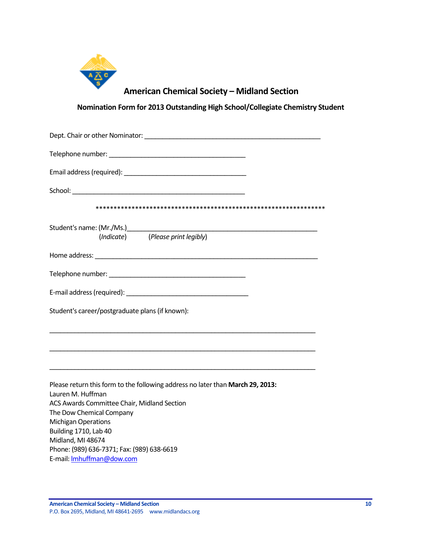

# **American Chemical Society – Midland Section**

**Nomination Form for 2013 Outstanding High School/Collegiate Chemistry Student**

<span id="page-9-0"></span>

| (Indicate) (Please print legibly)                                                                   |
|-----------------------------------------------------------------------------------------------------|
|                                                                                                     |
|                                                                                                     |
|                                                                                                     |
| Student's career/postgraduate plans (if known):                                                     |
|                                                                                                     |
|                                                                                                     |
| Please return this form to the following address no later than March 29, 2013:<br>Lauren M. Huffman |
| ACS Awards Committee Chair, Midland Section                                                         |
| The Dow Chemical Company<br><b>Michigan Operations</b>                                              |
| Building 1710, Lab 40                                                                               |
| Midland, MI 48674                                                                                   |
| Phone: (989) 636-7371; Fax: (989) 638-6619                                                          |
| E-mail: Imhuffman@dow.com                                                                           |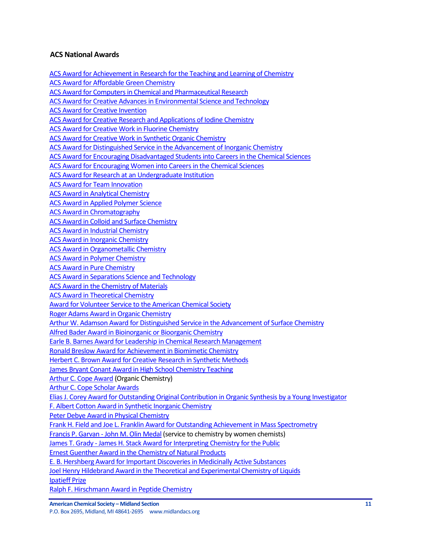# <span id="page-10-0"></span>**ACS National Awards**

[ACS Award for Achievement in Research for the Teaching and Learning of Chemistry](http://portal.acs.org/portal/PublicWebSite/funding/awards/national/bytopic/CTP_004484) [ACS Award for Affordable Green Chemistry](http://portal.acs.org/portal/PublicWebSite/funding/awards/national/bytopic/CTP_004487) [ACS Award for Computers in Chemical and Pharmaceutical Research](http://portal.acs.org/portal/PublicWebSite/funding/awards/national/bytopic/CTP_004503) [ACS Award for Creative Advances in Environmental Science and Technology](http://portal.acs.org/portal/PublicWebSite/funding/awards/national/bytopic/CTP_004504) [ACS Award for Creative Invention](http://portal.acs.org/portal/PublicWebSite/funding/awards/national/bytopic/CTP_004506) [ACS Award for Creative Research and Applications of Iodine Chemistry](https://wcmscontrib.acs.org/PublicWebSite/funding/awards/national/bytopic/CTP_004507) [ACS Award for Creative Work in Fluorine Chemistry](http://portal.acs.org/portal/PublicWebSite/funding/awards/national/bytopic/CTP_004505) [ACS Award for Creative Work in Synthetic Organic Chemistry](http://portal.acs.org/portal/PublicWebSite/funding/awards/national/bytopic/CTP_004508) [ACS Award for Distinguished Service in the Advancement of Inorganic Chemistry](http://portal.acs.org/portal/PublicWebSite/funding/awards/national/bytopic/CTP_004486) [ACS Award for Encouraging Disadvantaged Students into Careers in the Chemical Sciences](http://portal.acs.org/portal/PublicWebSite/funding/awards/national/bytopic/CTP_004509) [ACS Award for Encouraging Women into Careers in the Chemical Sciences](http://portal.acs.org/portal/PublicWebSite/funding/awards/national/bytopic/CTP_004517) [ACS Award for Research at an Undergraduate Institution](http://portal.acs.org/portal/PublicWebSite/funding/awards/national/bytopic/CTP_004549) [ACS Award for Team Innovation](http://portal.acs.org/portal/PublicWebSite/funding/awards/national/bytopic/CTP_004554) [ACS Award in Analytical Chemistry](http://portal.acs.org/portal/PublicWebSite/funding/awards/national/bytopic/CTP_004492) [ACS Award in Applied Polymer Science](http://portal.acs.org/portal/PublicWebSite/funding/awards/national/bytopic/CTP_004493) [ACS Award in Chromatography](http://portal.acs.org/portal/PublicWebSite/funding/awards/national/bytopic/CTP_004500) [ACS Award in Colloid and Surface Chemistry](http://portal.acs.org/portal/PublicWebSite/funding/awards/national/bytopic/CTP_004502) [ACS Award in Industrial Chemistry](http://portal.acs.org/portal/PublicWebSite/funding/awards/national/bytopic/CTP_004531) [ACS Award in Inorganic Chemistry](http://portal.acs.org/portal/PublicWebSite/funding/awards/national/bytopic/CTP_004532) [ACS Award in Organometallic Chemistry](http://portal.acs.org/portal/PublicWebSite/funding/awards/national/bytopic/CTP_004542) [ACS Award in Polymer Chemistry](http://portal.acs.org/portal/PublicWebSite/funding/awards/national/bytopic/CTP_004544) [ACS Award in Pure Chemistry](http://portal.acs.org/portal/PublicWebSite/funding/awards/national/bytopic/CTP_004546) [ACS Award in Separations Science and Technology](http://portal.acs.org/portal/PublicWebSite/funding/awards/national/bytopic/CTP_004552) [ACS Award in the Chemistry of Materials](http://portal.acs.org/portal/PublicWebSite/funding/awards/national/bytopic/CTP_004499) [ACS Award in Theoretical Chemistry](http://portal.acs.org/portal/PublicWebSite/funding/awards/national/bytopic/CTP_004555) [Award for Volunteer Service to the American Chemical Society](http://portal.acs.org/portal/PublicWebSite/funding/awards/national/bytopic/CTP_004556) [Roger Adams Award in Organic Chemistry](http://portal.acs.org/portal/acs/corg/content?_nfpb=true&_pageLabel=PP_ARTICLEMAIN&node_id=1319&content_id=CTP_004550&use_sec=true&sec_url_var=region1&__uuid=1e76bebf-2a77-403a-b47b-1dbd8d8c2adc) [Arthur W. Adamson Award for Distinguished Service in the Advancement of Surface Chemistry](http://portal.acs.org/portal/acs/corg/content?_nfpb=true&_pageLabel=PP_ARTICLEMAIN&node_id=1319&content_id=CTP_004550&use_sec=true&sec_url_var=region1&__uuid=1e76bebf-2a77-403a-b47b-1dbd8d8c2adc) [Alfred Bader Award in Bioinorganic or Bioorganic Chemistry](http://portal.acs.org/portal/PublicWebSite/funding/awards/national/bytopic/CTP_004490) [Earle B. Barnes Award for Leadership in Chemical Research Management](http://portal.acs.org/portal/PublicWebSite/funding/awards/national/bytopic/CTP_004512) [Ronald Breslow Award for Achievement in Biomimetic Chemistry](http://portal.acs.org/portal/PublicWebSite/funding/awards/national/bytopic/CTP_004551) [Herbert C. Brown Award for Creative Research in Synthetic Methods](http://portal.acs.org/portal/PublicWebSite/funding/awards/national/bytopic/CTP_004530) [James Bryant Conant Award in High School Chemistry Teaching](http://portal.acs.org/portal/PublicWebSite/funding/awards/national/bytopic/CTP_004535) [Arthur C. Cope Award](http://portal.acs.org/portal/PublicWebSite/funding/awards/national/bytopic/CTP_004495) (Organic Chemistry) [Arthur C. Cope Scholar Awards](http://portal.acs.org/portal/PublicWebSite/funding/awards/national/bytopic/CTP_004496) [Elias J. Corey Award for Outstanding Original Contribution in Organic Synthesis by a Young Investigator](http://portal.acs.org/portal/PublicWebSite/funding/awards/national/bytopic/CTP_004516) [F. Albert Cotton Award in Synthetic Inorganic Chemistry](http://portal.acs.org/portal/PublicWebSite/funding/awards/national/bytopic/CTP_004489) [Peter Debye Award in Physical Chemistry](http://portal.acs.org/portal/PublicWebSite/funding/awards/national/bytopic/CTP_004543) [Frank H. Field and Joe L. Franklin Award for Outstanding Achievement in Mass Spectrometry](http://portal.acs.org/portal/PublicWebSite/funding/awards/national/bytopic/CTP_004522) [Francis P. Garvan -](http://portal.acs.org/portal/PublicWebSite/funding/awards/national/bytopic/CTP_004521) John M. Olin Medal (service to chemistry by women chemists) James T. Grady - [James H. Stack Award for Interpreting Chemistry for the Public](http://portal.acs.org/portal/PublicWebSite/funding/awards/national/bytopic/CTP_004537) [Ernest Guenther Award in the Chemistry of Natural Products](http://portal.acs.org/portal/PublicWebSite/funding/awards/national/bytopic/CTP_004519) [E. B. Hershberg Award for Important Discoveries in Medicinally Active Substances](http://portal.acs.org/portal/acs/corg/content?_nfpb=true&_pageLabel=PP_ARTICLEMAIN&node_id=1319&content_id=CTP_004515&use_sec=true&sec_url_var=region1&__uuid=d07f8b4e-40a9-4f0b-9788-59ce80a26692) [Joel Henry Hildebrand Award in the Theoretical and Experimental Chemistry of Liquids](http://portal.acs.org/portal/acs/corg/content?_nfpb=true&_pageLabel=PP_ARTICLEMAIN&node_id=1319&content_id=CTP_004515&use_sec=true&sec_url_var=region1&__uuid=d07f8b4e-40a9-4f0b-9788-59ce80a26692) [Ipatieff Prize](http://portal.acs.org/portal/acs/corg/content?_nfpb=true&_pageLabel=PP_ARTICLEMAIN&node_id=1319&content_id=CTP_004533&use_sec=true&sec_url_var=region1&__uuid=05590309-7c28-4866-8546-97d5ad4f0ccf)

[Ralph F. Hirschmann Award in Peptide Chemistry](http://portal.acs.org/portal/PublicWebSite/funding/awards/national/bytopic/CTP_004547)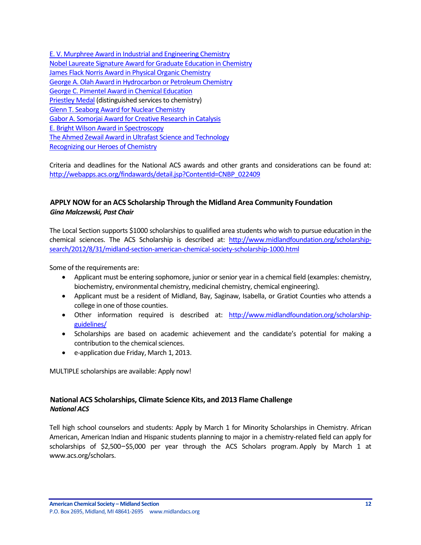[E. V. Murphree Award in Industrial and Engineering Chemistry](http://portal.acs.org/portal/PublicWebSite/funding/awards/national/bytopic/CTP_004520) [Nobel Laureate Signature Award for Graduate Education in Chemistry](http://portal.acs.org/portal/PublicWebSite/funding/awards/national/bytopic/CTP_004541) [James Flack Norris Award in Physical Organic](http://portal.acs.org/portal/PublicWebSite/funding/awards/national/bytopic/CTP_004536) Chemistry [George A. Olah Award in Hydrocarbon or Petroleum Chemistry](http://portal.acs.org/portal/PublicWebSite/funding/awards/national/bytopic/CTP_004526) [George C. Pimentel Award in Chemical Education](http://portal.acs.org/portal/PublicWebSite/funding/awards/national/bytopic/CTP_004528) [Priestley Medal](http://portal.acs.org/portal/PublicWebSite/funding/awards/national/bytopic/CTP_004545) (distinguished services to chemistry) [Glenn T. Seaborg Award for Nuclear Chemistry](http://portal.acs.org/portal/PublicWebSite/funding/awards/national/bytopic/CTP_004529) [Gabor A. Somorjai Award for Creative Research in Catalysis](http://portal.acs.org/portal/PublicWebSite/funding/awards/national/bytopic/CTP_004525) [E. Bright Wilson Award in Spectroscopy](http://portal.acs.org/portal/PublicWebSite/funding/awards/national/bytopic/CTP_004511) [The Ahmed Zewail Award in Ultrafast Science and Technology](http://portal.acs.org/portal/PublicWebSite/funding/awards/national/bytopic/CTP_004488) [Recognizing our Heroes of Chemistry](http://portal.acs.org/portal/acs/corg/content?_nfpb=true&_pageLabel=PP_SUPERARTICLE&node_id=1460&use_sec=false&sec_url_var=region1&__uuid=ef48cc7f-c3de-434e-8167-b3a7330575ad)

Criteria and deadlines for the National ACS awards and other grants and considerations can be found at: [http://webapps.acs.org/findawards/detail.jsp?ContentId=CNBP\\_022409](http://webapps.acs.org/findawards/detail.jsp?ContentId=CNBP_022409)

# <span id="page-11-0"></span>**APPLY NOW for an ACS Scholarship Through the Midland Area Community Foundation** *Gina Malczewski, Past Chair*

The Local Section supports \$1000 scholarships to qualified area students who wish to pursue education in the chemical sciences. The ACS Scholarship is described at: [http://www.midlandfoundation.org/scholarship](http://www.midlandfoundation.org/scholarship-search/2012/8/31/midland-section-american-chemical-society-scholarship-1000.html)[search/2012/8/31/midland-section-american-chemical-society-scholarship-1000.html](http://www.midlandfoundation.org/scholarship-search/2012/8/31/midland-section-american-chemical-society-scholarship-1000.html)

Some of the requirements are:

- Applicant must be entering sophomore, junior or senior year in a chemical field (examples: chemistry, biochemistry, environmental chemistry, medicinal chemistry, chemical engineering).
- Applicant must be a resident of Midland, Bay, Saginaw, Isabella, or Gratiot Counties who attends a college in one of those counties.
- Other information required is described at: [http://www.midlandfoundation.org/scholarship](http://www.midlandfoundation.org/scholarship-guidelines/)[guidelines/](http://www.midlandfoundation.org/scholarship-guidelines/)
- Scholarships are based on academic achievement and the candidate's potential for making a contribution to the chemical sciences.
- e-application due Friday, March 1, 2013.

MULTIPLE scholarships are available: Apply now!

# <span id="page-11-1"></span>**National ACS Scholarships, Climate Science Kits, and 2013 Flame Challenge** *National ACS*

Tell high school counselors and students: Apply by March 1 for Minority Scholarships in Chemistry. African American, American Indian and Hispanic students planning to major in a chemistry-related field can apply for scholarships of \$2,500–\$5,000 per year through the ACS Scholars program. Apply by March 1 at [www.acs.org/scholars.](http://t.congressweb.com/l/?UGIGHEFDQHOMIAN)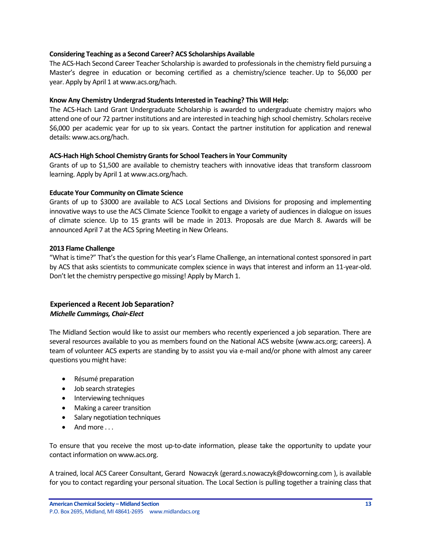### **Considering Teaching as a Second Career? ACS Scholarships Available**

Th[e ACS-Hach Second Career Teacher Scholarship](http://t.congressweb.com/l/?UGIGHEFDQHFAJTC) is awarded to professionals in the chemistry field pursuing a Master's degree in education or becoming certified as a chemistry/science teacher. Up to \$6,000 per year. Apply by April 1 a[t www.acs.org/hach.](http://t.congressweb.com/l/?UGIGHEFDQHFBVSW)

### **Know Any Chemistry Undergrad Students Interested in Teaching? This Will Help:**

The [ACS-Hach Land Grant Undergraduate Scholarship](http://t.congressweb.com/l/?UGIGHEFDQHFNWTZ) is awarded to undergraduate chemistry majors who attend one of ou[r 72 partner institutions](http://t.congressweb.com/l/?UGIGHEFDQHJPSUG) and are interested in teaching high school chemistry. Scholars receive \$6,000 per academic year for up to six years. Contact the [partner institution](http://t.congressweb.com/l/?UGIGHEFDQHJPGKG) for application and renewal details: [www.acs.org/hach.](http://t.congressweb.com/l/?UGIGHEFDQHHPLHE)

### **ACS-Hach High School Chemistry Grants for School Teachers in Your Community**

Grants of up to \$1,500 are available to chemistry teachers with innovative ideas that transform classroom learning. Apply by April 1 a[t www.acs.org/hach.](http://t.congressweb.com/l/?UGIGHEFDQHOGXQM)

### **Educate Your Community on Climate Science**

Grants of up to \$3000 are available to ACS Local Sections and Divisions for proposing and implementing innovative ways to use the ACS Climate Science Toolkit to engage a variety of audiences in dialogue on issues of climate science. Up to 15 grants will be made in 2013. Proposals are due March 8. Awards will be announced April 7 at the ACS Spring Meeting in New Orleans.

### **2013 Flame Challenge**

"What is time?" That's the question for this year's [Flame Challenge,](http://t.congressweb.com/l/?UGIGHEFDQHFAULH) an international contest sponsored in part by ACS that asks scientists to communicate complex science in ways that interest and inform an 11-year-old. Don't let the chemistry perspective go missing! Apply by March 1.

### <span id="page-12-0"></span>**Experienced a Recent Job Separation?** *Michelle Cummings, Chair-Elect*

The Midland Section would like to assist our members who recently experienced a job separation. There are several resources available to you as members found on the National ACS website (www.acs.org; careers). A team of volunteer ACS experts are standing by to assist you via e-mail and/or phone with almost any career questions you might have:

- Résumé preparation
- Job search strategies
- Interviewing techniques
- Making a career transition
- Salary negotiation techniques
- $\bullet$  And more ...

To ensure that you receive the most up-to-date information, please take the opportunity to update your contact information on www.acs.org.

A trained, local ACS Career Consultant, Gerard Nowaczyk (gerard.s.nowaczyk@dowcorning.com ), is available for you to contact regarding your personal situation. The Local Section is pulling together a training class that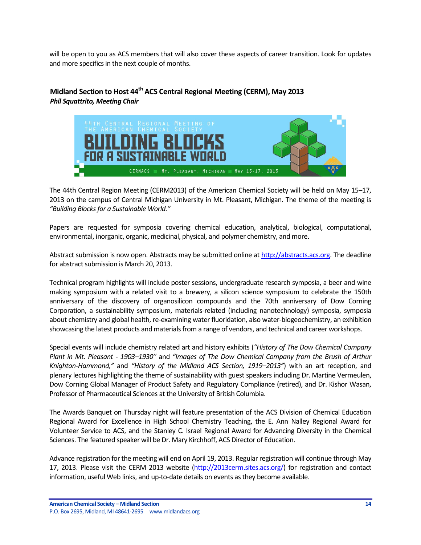will be open to you as ACS members that will also cover these aspects of career transition. Look for updates and more specifics in the next couple of months.

# <span id="page-13-0"></span>**Midland Section to Host 44th ACS Central Regional Meeting (CERM), May 2013** *Phil Squattrito, Meeting Chair*



The 44th Central Region Meeting (CERM2013) of the American Chemical Society will be held on May 15–17, 2013 on the campus of Central Michigan University in Mt. Pleasant, Michigan. The theme of the meeting is *"Building Blocks for a Sustainable World."*

Papers are requested for symposia covering chemical education, analytical, biological, computational, environmental, inorganic, organic, medicinal, physical, and polymer chemistry, and more.

Abstract submission is now open. Abstracts may be submitted online at [http://abstracts.acs.org.](http://abstracts.acs.org/) The deadline for abstract submission is March 20, 2013.

Technical program highlights will include poster sessions, undergraduate research symposia, a beer and wine making symposium with a related visit to a brewery, a silicon science symposium to celebrate the 150th anniversary of the discovery of organosilicon compounds and the 70th anniversary of Dow Corning Corporation, a sustainability symposium, materials-related (including nanotechnology) symposia, symposia about chemistry and global health, re-examining water fluoridation, also water-biogeochemistry, an exhibition showcasing the latest products and materials from a range of vendors, and technical and career workshops.

Special events will include chemistry related art and history exhibits (*"History of The Dow Chemical Company Plant in Mt. Pleasant - 1903–1930"* and *"Images of The Dow Chemical Company from the Brush of Arthur Knighton-Hammond,"* and *"History of the Midland ACS Section, 1919–2013"*) with an art reception, and plenary lectures highlighting the theme of sustainability with guest speakers including Dr. Martine Vermeulen, Dow Corning Global Manager of Product Safety and Regulatory Compliance (retired), and Dr. Kishor Wasan, Professor of Pharmaceutical Sciences at the University of British Columbia.

The Awards Banquet on Thursday night will feature presentation of the ACS Division of Chemical Education Regional Award for Excellence in High School Chemistry Teaching, the E. Ann Nalley Regional Award for Volunteer Service to ACS, and the Stanley C. Israel Regional Award for Advancing Diversity in the Chemical Sciences. The featured speaker will be Dr. Mary Kirchhoff, ACS Director of Education.

Advance registration for the meeting will end on April 19, 2013. Regular registration will continue through May 17, 2013. Please visit the CERM 2013 website [\(http://2013cerm.sites.acs.org/\)](http://2013cerm.sites.acs.org/) for registration and contact information, useful Web links, and up-to-date details on events as they become available.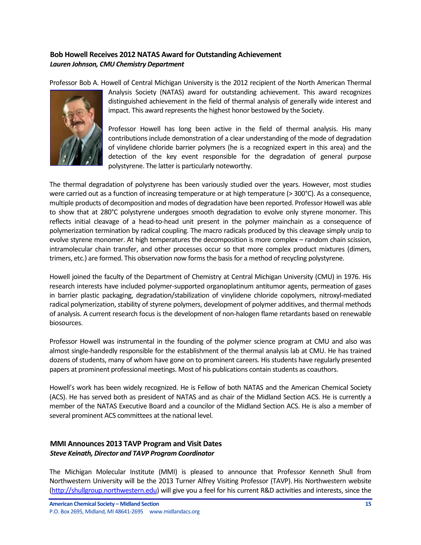# <span id="page-14-0"></span>**Bob Howell Receives 2012 NATAS Award for Outstanding Achievement** *Lauren Johnson, CMU Chemistry Department*

Professor Bob A. Howell of Central Michigan University is the 2012 recipient of the North American Thermal



Analysis Society (NATAS) award for outstanding achievement. This award recognizes distinguished achievement in the field of thermal analysis of generally wide interest and impact. This award represents the highest honor bestowed by the Society.

Professor Howell has long been active in the field of thermal analysis. His many contributions include demonstration of a clear understanding of the mode of degradation of vinylidene chloride barrier polymers (he is a recognized expert in this area) and the detection of the key event responsible for the degradation of general purpose polystyrene. The latter is particularly noteworthy.

The thermal degradation of polystyrene has been variously studied over the years. However, most studies were carried out as a function of increasing temperature or at high temperature (> 300°C). As a consequence, multiple products of decomposition and modes of degradation have been reported. Professor Howell was able to show that at 280°C polystyrene undergoes smooth degradation to evolve only styrene monomer. This reflects initial cleavage of a head-to-head unit present in the polymer mainchain as a consequence of polymerization termination by radical coupling. The macro radicals produced by this cleavage simply unzip to evolve styrene monomer. At high temperatures the decomposition is more complex – random chain scission, intramolecular chain transfer, and other processes occur so that more complex product mixtures (dimers, trimers, etc.) are formed. This observation now forms the basis for a method of recycling polystyrene.

Howell joined the faculty of the Department of Chemistry at Central Michigan University (CMU) in 1976. His research interests have included polymer-supported organoplatinum antitumor agents, permeation of gases in barrier plastic packaging, degradation/stabilization of vinylidene chloride copolymers, nitroxyl-mediated radical polymerization, stability of styrene polymers, development of polymer additives, and thermal methods of analysis. A current research focus is the development of non-halogen flame retardants based on renewable biosources.

Professor Howell was instrumental in the founding of the polymer science program at CMU and also was almost single-handedly responsible for the establishment of the thermal analysis lab at CMU. He has trained dozens of students, many of whom have gone on to prominent careers. His students have regularly presented papers at prominent professional meetings. Most of his publications contain students as coauthors.

Howell's work has been widely recognized. He is Fellow of both NATAS and the American Chemical Society (ACS). He has served both as president of NATAS and as chair of the Midland Section ACS. He is currently a member of the NATAS Executive Board and a councilor of the Midland Section ACS. He is also a member of several prominent ACS committees at the national level.

### <span id="page-14-1"></span>**MMI Announces 2013 TAVP Program and Visit Dates** *Steve Keinath, Director and TAVP Program Coordinator*

The Michigan Molecular Institute (MMI) is pleased to announce that Professor Kenneth Shull from Northwestern University will be the 2013 Turner Alfrey Visiting Professor (TAVP). His Northwestern website [\(http://shullgroup.northwestern.edu\)](http://shullgroup.northwestern.edu/) will give you a feel for his current R&D activities and interests, since the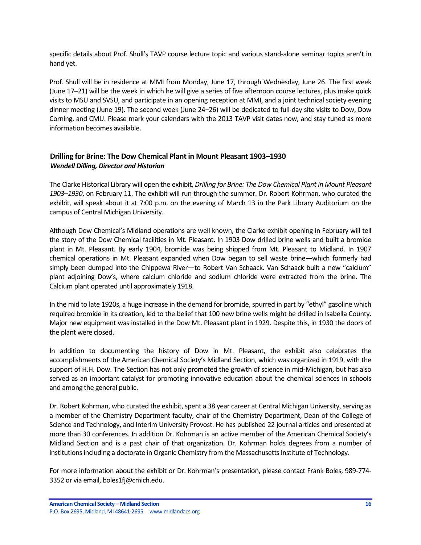specific details about Prof. Shull's TAVP course lecture topic and various stand-alone seminar topics aren't in hand yet.

Prof. Shull will be in residence at MMI from Monday, June 17, through Wednesday, June 26. The first week (June 17–21) will be the week in which he will give a series of five afternoon course lectures, plus make quick visits to MSU and SVSU, and participate in an opening reception at MMI, and a joint technical society evening dinner meeting (June 19). The second week (June 24–26) will be dedicated to full-day site visits to Dow, Dow Corning, and CMU. Please mark your calendars with the 2013 TAVP visit dates now, and stay tuned as more information becomes available.

## <span id="page-15-0"></span>**Drilling for Brine: The Dow Chemical Plant in Mount Pleasant 1903–1930** *Wendell Dilling, Director and Historian*

The Clarke Historical Library will open the exhibit, *Drilling for Brine: The Dow Chemical Plant in Mount Pleasant 1903–1930*, on February 11. The exhibit will run through the summer. Dr. Robert Kohrman, who curated the exhibit, will speak about it at 7:00 p.m. on the evening of March 13 in the Park Library Auditorium on the campus of Central Michigan University.

Although Dow Chemical's Midland operations are well known, the Clarke exhibit opening in February will tell the story of the Dow Chemical facilities in Mt. Pleasant. In 1903 Dow drilled brine wells and built a bromide plant in Mt. Pleasant. By early 1904, bromide was being shipped from Mt. Pleasant to Midland. In 1907 chemical operations in Mt. Pleasant expanded when Dow began to sell waste brine—which formerly had simply been dumped into the Chippewa River—to Robert Van Schaack. Van Schaack built a new "calcium" plant adjoining Dow's, where calcium chloride and sodium chloride were extracted from the brine. The Calcium plant operated until approximately 1918.

In the mid to late 1920s, a huge increase in the demand for bromide, spurred in part by "ethyl" gasoline which required bromide in its creation, led to the belief that 100 new brine wells might be drilled in Isabella County. Major new equipment was installed in the Dow Mt. Pleasant plant in 1929. Despite this, in 1930 the doors of the plant were closed.

In addition to documenting the history of Dow in Mt. Pleasant, the exhibit also celebrates the accomplishments of the American Chemical Society's Midland Section, which was organized in 1919, with the support of H.H. Dow. The Section has not only promoted the growth of science in mid-Michigan, but has also served as an important catalyst for promoting innovative education about the chemical sciences in schools and among the general public.

Dr. Robert Kohrman, who curated the exhibit, spent a 38 year career at Central Michigan University, serving as a member of the Chemistry Department faculty, chair of the Chemistry Department, Dean of the College of Science and Technology, and Interim University Provost. He has published 22 journal articles and presented at more than 30 conferences. In addition Dr. Kohrman is an active member of the American Chemical Society's Midland Section and is a past chair of that organization. Dr. Kohrman holds degrees from a number of institutions including a doctorate in Organic Chemistry from the Massachusetts Institute of Technology.

For more information about the exhibit or Dr. Kohrman's presentation, please contact Frank Boles, 989-774- 3352 or via email, boles1fj@cmich.edu.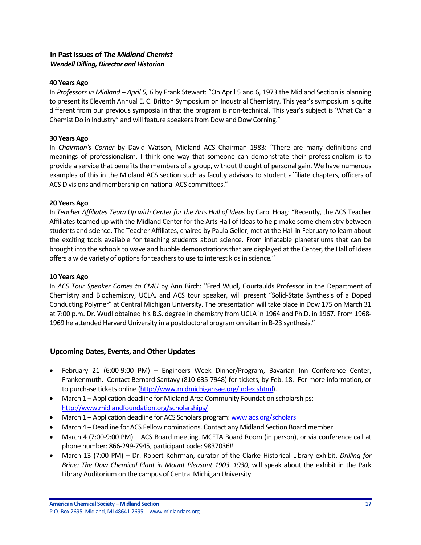## <span id="page-16-0"></span>**In Past Issues of** *The Midland Chemist Wendell Dilling, Director and Historian*

### **40 Years Ago**

In *Professors in Midland – April 5, 6* by Frank Stewart: "On April 5 and 6, 1973 the Midland Section is planning to present its Eleventh Annual E. C. Britton Symposium on Industrial Chemistry. This year's symposium is quite different from our previous symposia in that the program is non-technical. This year's subject is 'What Can a Chemist Do in Industry" and will feature speakers from Dow and Dow Corning."

### **30 Years Ago**

In *Chairman's Corner* by David Watson, Midland ACS Chairman 1983: "There are many definitions and meanings of professionalism. I think one way that someone can demonstrate their professionalism is to provide a service that benefits the members of a group, without thought of personal gain. We have numerous examples of this in the Midland ACS section such as faculty advisors to student affiliate chapters, officers of ACS Divisions and membership on national ACS committees."

### **20 Years Ago**

In *Teacher Affiliates Team Up with Center for the Arts Hall of Ideas* by Carol Hoag: "Recently, the ACS Teacher Affiliates teamed up with the Midland Center for the Arts Hall of Ideas to help make some chemistry between students and science. The Teacher Affiliates, chaired by Paula Geller, met at the Hall in February to learn about the exciting tools available for teaching students about science. From inflatable planetariums that can be brought into the schools to wave and bubble demonstrations that are displayed at the Center, the Hall of Ideas offers a wide variety of options for teachers to use to interest kids in science*.*"

### **10 Years Ago**

In *ACS Tour Speaker Comes to CMU* by Ann Birch: "Fred Wudl, Courtaulds Professor in the Department of Chemistry and Biochemistry, UCLA, and ACS tour speaker, will present "Solid-State Synthesis of a Doped Conducting Polymer" at Central Michigan University. The presentation will take place in Dow 175 on March 31 at 7:00 p.m. Dr. Wudl obtained his B.S. degree in chemistry from UCLA in 1964 and Ph.D. in 1967. From 1968- 1969 he attended Harvard University in a postdoctoral program on vitamin B-23 synthesis."

### <span id="page-16-1"></span>**Upcoming Dates, Events, and Other Updates**

- February 21 (6:00-9:00 PM) Engineers Week Dinner/Program, Bavarian Inn Conference Center, Frankenmuth. Contact Bernard Santavy (810-635-7948) for tickets, by Feb. 18. For more information, or to purchase tickets online [\(http://www.midmichigansae.org/index.shtml\)](http://www.midmichigansae.org/index.shtml).
- March 1 Application deadline for Midland Area Community Foundation scholarships: <http://www.midlandfoundation.org/scholarships/>
- March 1 Application deadline for ACS Scholars program: [www.acs.org/scholars](http://www.acs.org/scholars)
- March 4 Deadline for ACS Fellow nominations. Contact any Midland Section Board member.
- March 4 (7:00-9:00 PM) ACS Board meeting, MCFTA Board Room (in person), or via conference call at phone number: 866-299-7945, participant code: 9837036#.
- March 13 (7:00 PM) Dr. Robert Kohrman, curator of the Clarke Historical Library exhibit, *Drilling for Brine: The Dow Chemical Plant in Mount Pleasant 1903–1930*, will speak about the exhibit in the Park Library Auditorium on the campus of Central Michigan University.